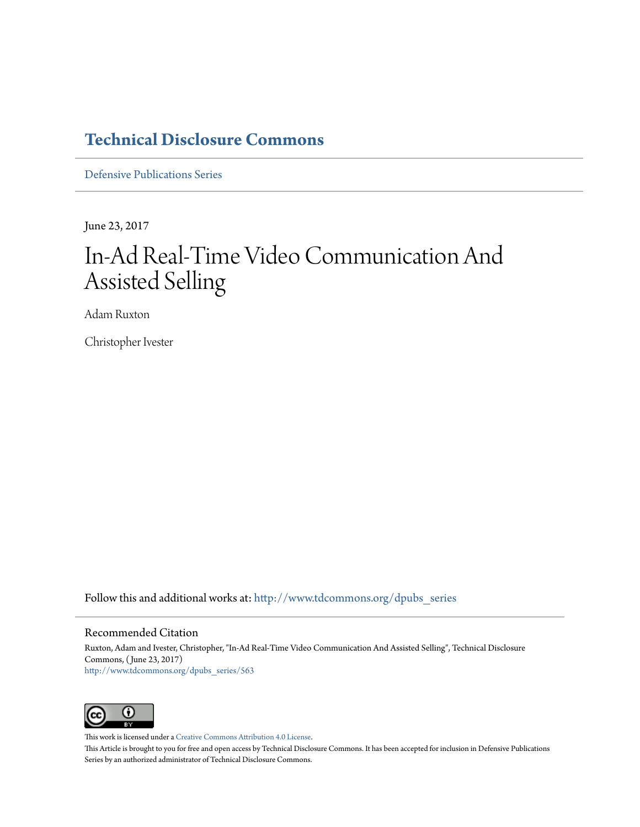### **[Technical Disclosure Commons](http://www.tdcommons.org?utm_source=www.tdcommons.org%2Fdpubs_series%2F563&utm_medium=PDF&utm_campaign=PDFCoverPages)**

[Defensive Publications Series](http://www.tdcommons.org/dpubs_series?utm_source=www.tdcommons.org%2Fdpubs_series%2F563&utm_medium=PDF&utm_campaign=PDFCoverPages)

June 23, 2017

# In-Ad Real-Time Video Communication And Assisted Selling

Adam Ruxton

Christopher Ivester

Follow this and additional works at: [http://www.tdcommons.org/dpubs\\_series](http://www.tdcommons.org/dpubs_series?utm_source=www.tdcommons.org%2Fdpubs_series%2F563&utm_medium=PDF&utm_campaign=PDFCoverPages)

### Recommended Citation

Ruxton, Adam and Ivester, Christopher, "In-Ad Real-Time Video Communication And Assisted Selling", Technical Disclosure Commons, ( June 23, 2017) [http://www.tdcommons.org/dpubs\\_series/563](http://www.tdcommons.org/dpubs_series/563?utm_source=www.tdcommons.org%2Fdpubs_series%2F563&utm_medium=PDF&utm_campaign=PDFCoverPages)



This work is licensed under a [Creative Commons Attribution 4.0 License.](http://creativecommons.org/licenses/by/4.0/deed.en_US)

This Article is brought to you for free and open access by Technical Disclosure Commons. It has been accepted for inclusion in Defensive Publications Series by an authorized administrator of Technical Disclosure Commons.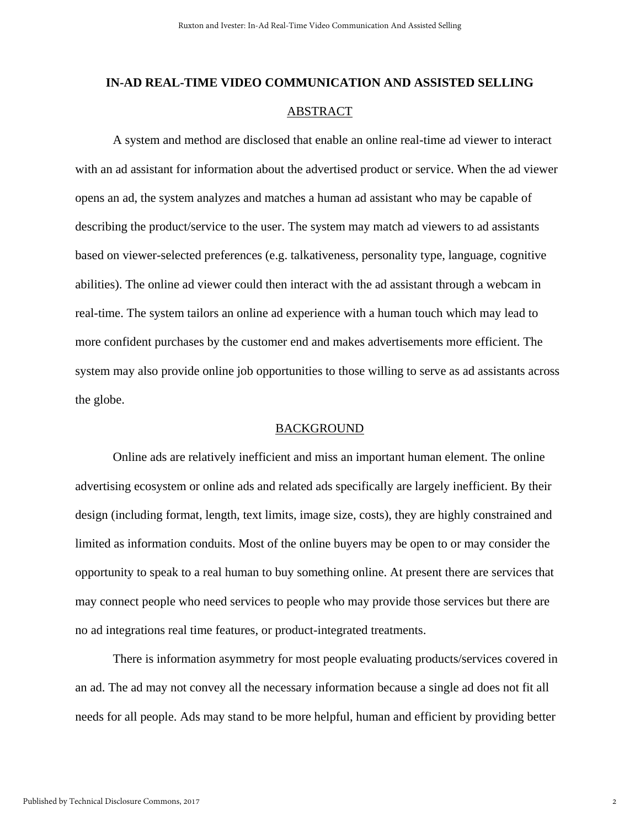## **IN-AD REAL-TIME VIDEO COMMUNICATION AND ASSISTED SELLING**  ABSTRACT

A system and method are disclosed that enable an online real-time ad viewer to interact with an ad assistant for information about the advertised product or service. When the ad viewer opens an ad, the system analyzes and matches a human ad assistant who may be capable of describing the product/service to the user. The system may match ad viewers to ad assistants based on viewer-selected preferences (e.g. talkativeness, personality type, language, cognitive abilities). The online ad viewer could then interact with the ad assistant through a webcam in real-time. The system tailors an online ad experience with a human touch which may lead to more confident purchases by the customer end and makes advertisements more efficient. The system may also provide online job opportunities to those willing to serve as ad assistants across the globe.

### **BACKGROUND**

Online ads are relatively inefficient and miss an important human element. The online advertising ecosystem or online ads and related ads specifically are largely inefficient. By their design (including format, length, text limits, image size, costs), they are highly constrained and limited as information conduits. Most of the online buyers may be open to or may consider the opportunity to speak to a real human to buy something online. At present there are services that may connect people who need services to people who may provide those services but there are no ad integrations real time features, or product-integrated treatments.

There is information asymmetry for most people evaluating products/services covered in an ad. The ad may not convey all the necessary information because a single ad does not fit all needs for all people. Ads may stand to be more helpful, human and efficient by providing better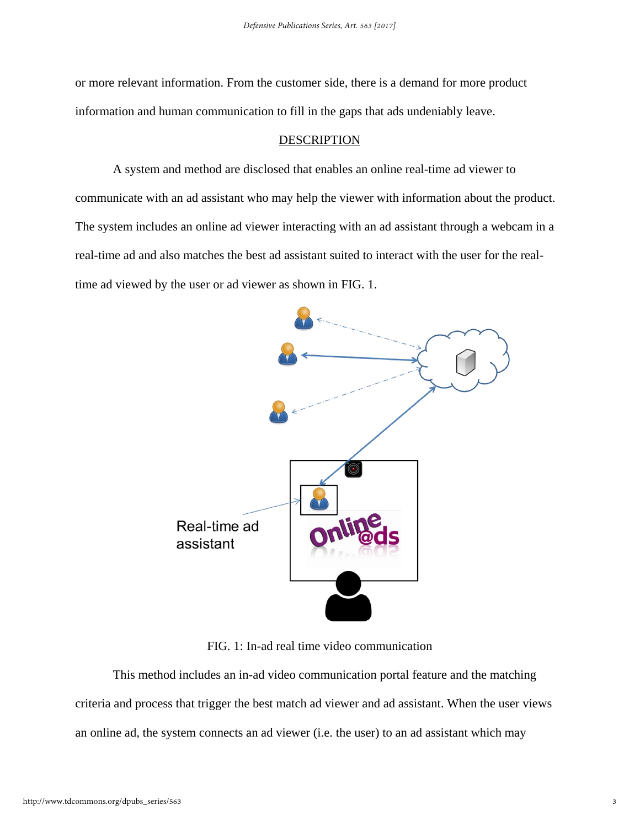or more relevant information. From the customer side, there is a demand for more product information and human communication to fill in the gaps that ads undeniably leave.

#### DESCRIPTION

A system and method are disclosed that enables an online real-time ad viewer to communicate with an ad assistant who may help the viewer with information about the product. The system includes an online ad viewer interacting with an ad assistant through a webcam in a real-time ad and also matches the best ad assistant suited to interact with the user for the realtime ad viewed by the user or ad viewer as shown in FIG. 1.



FIG. 1: In-ad real time video communication

This method includes an in-ad video communication portal feature and the matching criteria and process that trigger the best match ad viewer and ad assistant. When the user views an online ad, the system connects an ad viewer (i.e. the user) to an ad assistant which may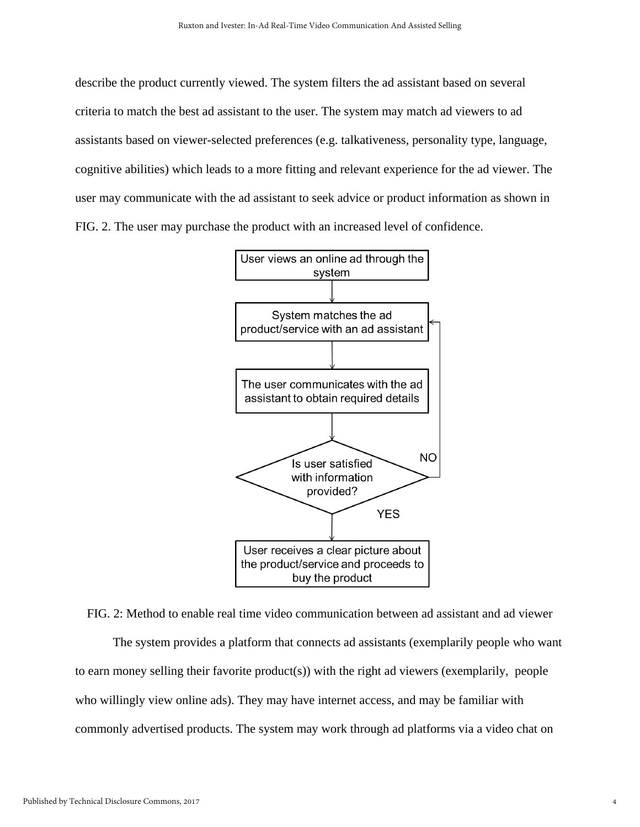describe the product currently viewed. The system filters the ad assistant based on several criteria to match the best ad assistant to the user. The system may match ad viewers to ad assistants based on viewer-selected preferences (e.g. talkativeness, personality type, language, cognitive abilities) which leads to a more fitting and relevant experience for the ad viewer. The user may communicate with the ad assistant to seek advice or product information as shown in FIG. 2. The user may purchase the product with an increased level of confidence.



FIG. 2: Method to enable real time video communication between ad assistant and ad viewer The system provides a platform that connects ad assistants (exemplarily people who want to earn money selling their favorite product(s)) with the right ad viewers (exemplarily, people who willingly view online ads). They may have internet access, and may be familiar with commonly advertised products. The system may work through ad platforms via a video chat on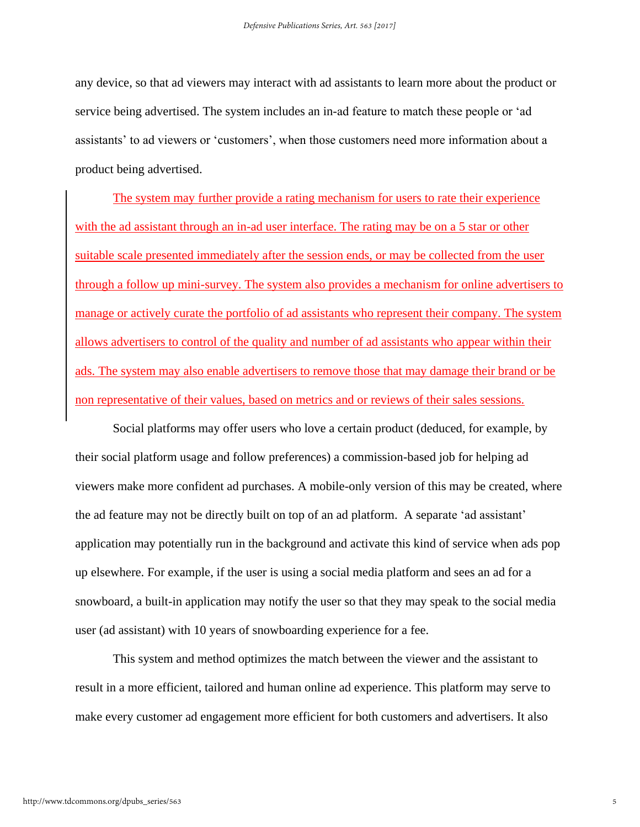any device, so that ad viewers may interact with ad assistants to learn more about the product or service being advertised. The system includes an in-ad feature to match these people or 'ad assistants' to ad viewers or 'customers', when those customers need more information about a product being advertised.

The system may further provide a rating mechanism for users to rate their experience with the ad assistant through an in-ad user interface. The rating may be on a 5 star or other suitable scale presented immediately after the session ends, or may be collected from the user through a follow up mini-survey. The system also provides a mechanism for online advertisers to manage or actively curate the portfolio of ad assistants who represent their company. The system allows advertisers to control of the quality and number of ad assistants who appear within their ads. The system may also enable advertisers to remove those that may damage their brand or be non representative of their values, based on metrics and or reviews of their sales sessions.

Social platforms may offer users who love a certain product (deduced, for example, by their social platform usage and follow preferences) a commission-based job for helping ad viewers make more confident ad purchases. A mobile-only version of this may be created, where the ad feature may not be directly built on top of an ad platform. A separate 'ad assistant' application may potentially run in the background and activate this kind of service when ads pop up elsewhere. For example, if the user is using a social media platform and sees an ad for a snowboard, a built-in application may notify the user so that they may speak to the social media user (ad assistant) with 10 years of snowboarding experience for a fee.

This system and method optimizes the match between the viewer and the assistant to result in a more efficient, tailored and human online ad experience. This platform may serve to make every customer ad engagement more efficient for both customers and advertisers. It also

5